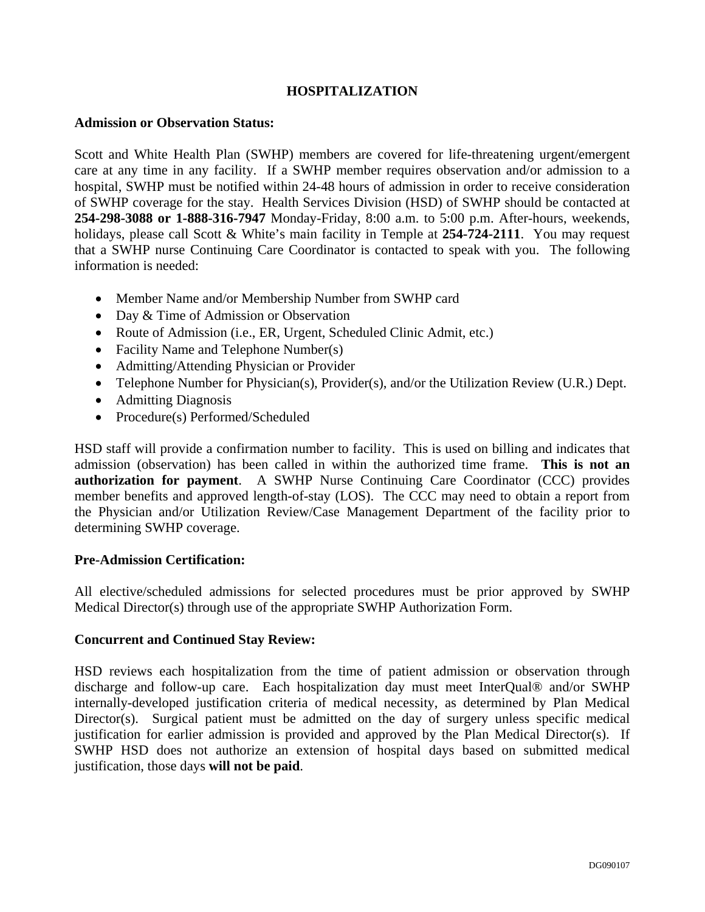# **HOSPITALIZATION**

#### **Admission or Observation Status:**

Scott and White Health Plan (SWHP) members are covered for life-threatening urgent/emergent care at any time in any facility. If a SWHP member requires observation and/or admission to a hospital, SWHP must be notified within 24-48 hours of admission in order to receive consideration of SWHP coverage for the stay. Health Services Division (HSD) of SWHP should be contacted at **254-298-3088 or 1-888-316-7947** Monday-Friday, 8:00 a.m. to 5:00 p.m. After-hours, weekends, holidays, please call Scott & White's main facility in Temple at **254-724-2111**. You may request that a SWHP nurse Continuing Care Coordinator is contacted to speak with you. The following information is needed:

- Member Name and/or Membership Number from SWHP card
- Day & Time of Admission or Observation
- Route of Admission (i.e., ER, Urgent, Scheduled Clinic Admit, etc.)
- Facility Name and Telephone Number(s)
- Admitting/Attending Physician or Provider
- Telephone Number for Physician(s), Provider(s), and/or the Utilization Review (U.R.) Dept.
- Admitting Diagnosis
- Procedure(s) Performed/Scheduled

HSD staff will provide a confirmation number to facility. This is used on billing and indicates that admission (observation) has been called in within the authorized time frame. **This is not an authorization for payment**. A SWHP Nurse Continuing Care Coordinator (CCC) provides member benefits and approved length-of-stay (LOS). The CCC may need to obtain a report from the Physician and/or Utilization Review/Case Management Department of the facility prior to determining SWHP coverage.

### **Pre-Admission Certification:**

All elective/scheduled admissions for selected procedures must be prior approved by SWHP Medical Director(s) through use of the appropriate SWHP Authorization Form.

### **Concurrent and Continued Stay Review:**

HSD reviews each hospitalization from the time of patient admission or observation through discharge and follow-up care. Each hospitalization day must meet InterQual® and/or SWHP internally-developed justification criteria of medical necessity, as determined by Plan Medical Director(s). Surgical patient must be admitted on the day of surgery unless specific medical justification for earlier admission is provided and approved by the Plan Medical Director(s). If SWHP HSD does not authorize an extension of hospital days based on submitted medical justification, those days **will not be paid**.